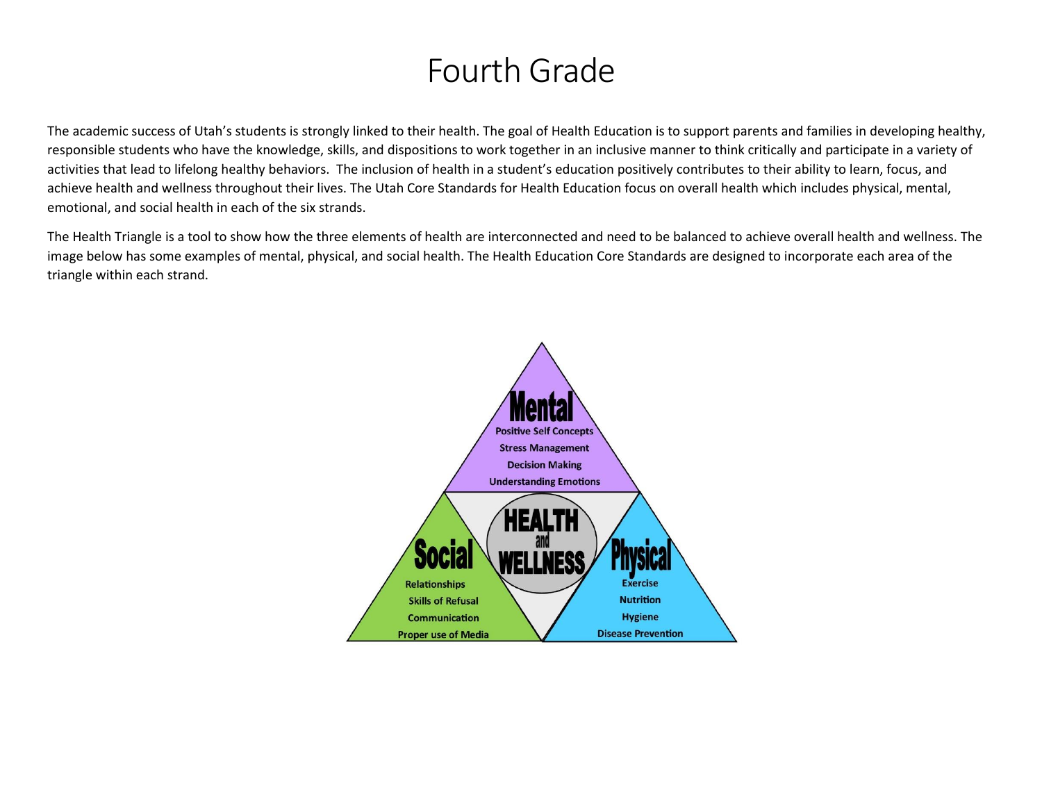# Fourth Grade

The academic success of Utah's students is strongly linked to their health. The goal of Health Education is to support parents and families in developing healthy, responsible students who have the knowledge, skills, and dispositions to work together in an inclusive manner to think critically and participate in a variety of activities that lead to lifelong healthy behaviors. The inclusion of health in a student's education positively contributes to their ability to learn, focus, and achieve health and wellness throughout their lives. The Utah Core Standards for Health Education focus on overall health which includes physical, mental, emotional, and social health in each of the six strands.

The Health Triangle is a tool to show how the three elements of health are interconnected and need to be balanced to achieve overall health and wellness. The image below has some examples of mental, physical, and social health. The Health Education Core Standards are designed to incorporate each area of the triangle within each strand.

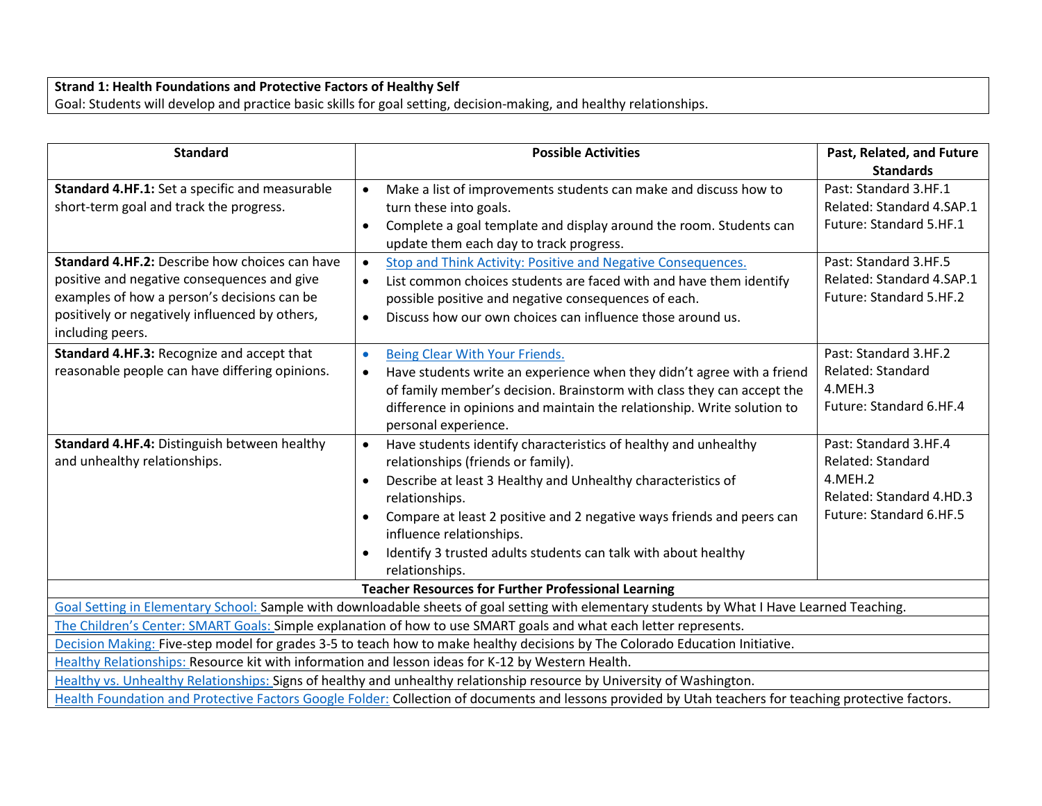#### **Strand 1: Health Foundations and Protective Factors of Healthy Self** Goal: Students will develop and practice basic skills for goal setting, decision-making, and healthy relationships.

| <b>Standard</b>                                                                                                                                        | <b>Possible Activities</b>                                                                                             | Past, Related, and Future |
|--------------------------------------------------------------------------------------------------------------------------------------------------------|------------------------------------------------------------------------------------------------------------------------|---------------------------|
|                                                                                                                                                        |                                                                                                                        | <b>Standards</b>          |
| Standard 4.HF.1: Set a specific and measurable                                                                                                         | Make a list of improvements students can make and discuss how to<br>$\bullet$                                          | Past: Standard 3.HF.1     |
| short-term goal and track the progress.                                                                                                                | turn these into goals.                                                                                                 | Related: Standard 4.SAP.1 |
|                                                                                                                                                        | Complete a goal template and display around the room. Students can                                                     | Future: Standard 5.HF.1   |
|                                                                                                                                                        | update them each day to track progress.                                                                                |                           |
| Standard 4.HF.2: Describe how choices can have                                                                                                         | Stop and Think Activity: Positive and Negative Consequences.<br>$\bullet$                                              | Past: Standard 3.HF.5     |
| positive and negative consequences and give                                                                                                            | List common choices students are faced with and have them identify<br>$\bullet$                                        | Related: Standard 4.SAP.1 |
| examples of how a person's decisions can be                                                                                                            | possible positive and negative consequences of each.                                                                   | Future: Standard 5.HF.2   |
| positively or negatively influenced by others,                                                                                                         | Discuss how our own choices can influence those around us.<br>$\bullet$                                                |                           |
| including peers.                                                                                                                                       |                                                                                                                        |                           |
| Standard 4.HF.3: Recognize and accept that                                                                                                             | Being Clear With Your Friends.<br>$\bullet$                                                                            | Past: Standard 3.HF.2     |
| reasonable people can have differing opinions.                                                                                                         | Have students write an experience when they didn't agree with a friend<br>$\bullet$                                    | Related: Standard         |
|                                                                                                                                                        | of family member's decision. Brainstorm with class they can accept the                                                 | 4.MEH.3                   |
|                                                                                                                                                        | difference in opinions and maintain the relationship. Write solution to                                                | Future: Standard 6.HF.4   |
|                                                                                                                                                        | personal experience.                                                                                                   |                           |
| Standard 4.HF.4: Distinguish between healthy                                                                                                           | Have students identify characteristics of healthy and unhealthy<br>$\bullet$                                           | Past: Standard 3.HF.4     |
| and unhealthy relationships.                                                                                                                           | relationships (friends or family).                                                                                     | Related: Standard         |
|                                                                                                                                                        | Describe at least 3 Healthy and Unhealthy characteristics of<br>$\bullet$                                              | 4.MEH.2                   |
|                                                                                                                                                        | relationships.                                                                                                         | Related: Standard 4.HD.3  |
|                                                                                                                                                        | Compare at least 2 positive and 2 negative ways friends and peers can<br>$\bullet$<br>influence relationships.         | Future: Standard 6.HF.5   |
|                                                                                                                                                        | Identify 3 trusted adults students can talk with about healthy<br>$\bullet$                                            |                           |
|                                                                                                                                                        | relationships.                                                                                                         |                           |
| <b>Teacher Resources for Further Professional Learning</b>                                                                                             |                                                                                                                        |                           |
| Goal Setting in Elementary School: Sample with downloadable sheets of goal setting with elementary students by What I Have Learned Teaching.           |                                                                                                                        |                           |
|                                                                                                                                                        | The Children's Center: SMART Goals: Simple explanation of how to use SMART goals and what each letter represents.      |                           |
| Decision Making: Five-step model for grades 3-5 to teach how to make healthy decisions by The Colorado Education Initiative.                           |                                                                                                                        |                           |
| Healthy Relationships: Resource kit with information and lesson ideas for K-12 by Western Health.                                                      |                                                                                                                        |                           |
|                                                                                                                                                        | Healthy vs. Unhealthy Relationships: Signs of healthy and unhealthy relationship resource by University of Washington. |                           |
| Health Foundation and Protective Factors Google Folder: Collection of documents and lessons provided by Utah teachers for teaching protective factors. |                                                                                                                        |                           |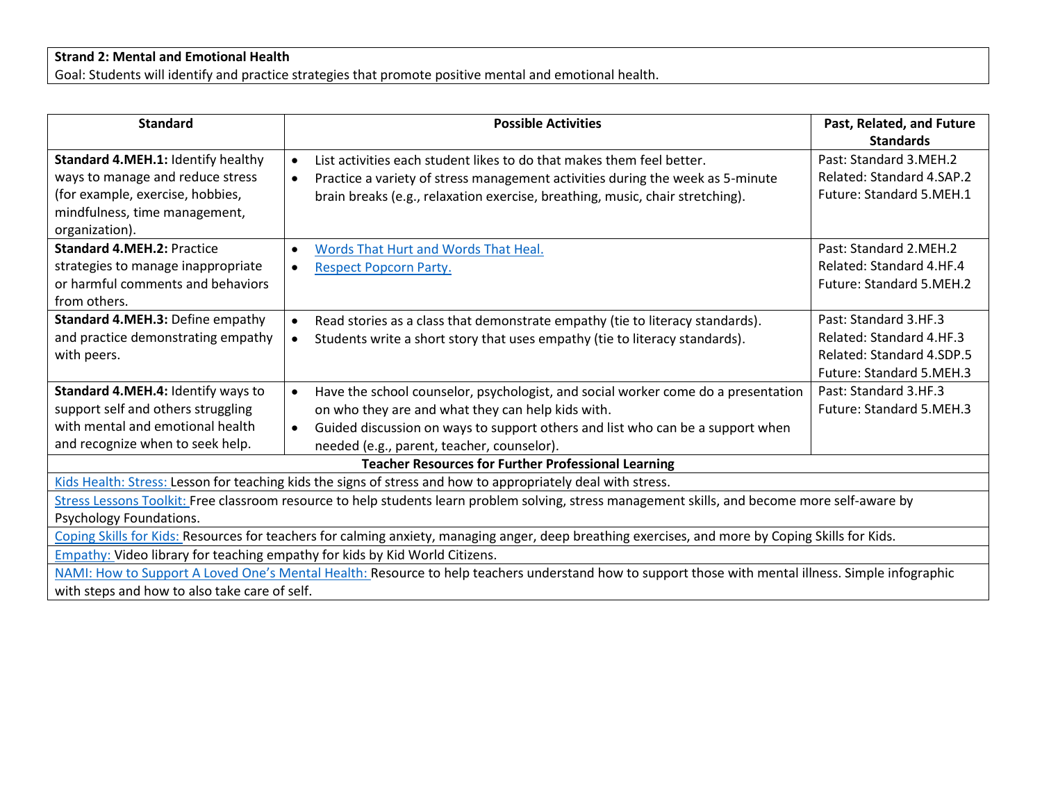#### **Strand 2: Mental and Emotional Health**

Goal: Students will identify and practice strategies that promote positive mental and emotional health.

| <b>Standard</b>                                                                                                                                                                                                                                                                                                                                                                                | <b>Possible Activities</b>                                                                                                                                                                                                                                                          | Past, Related, and Future<br><b>Standards</b>                                                              |
|------------------------------------------------------------------------------------------------------------------------------------------------------------------------------------------------------------------------------------------------------------------------------------------------------------------------------------------------------------------------------------------------|-------------------------------------------------------------------------------------------------------------------------------------------------------------------------------------------------------------------------------------------------------------------------------------|------------------------------------------------------------------------------------------------------------|
| Standard 4.MEH.1: Identify healthy<br>ways to manage and reduce stress<br>(for example, exercise, hobbies,<br>mindfulness, time management,<br>organization).                                                                                                                                                                                                                                  | List activities each student likes to do that makes them feel better.<br>Practice a variety of stress management activities during the week as 5-minute<br>$\bullet$<br>brain breaks (e.g., relaxation exercise, breathing, music, chair stretching).                               | Past: Standard 3.MEH.2<br>Related: Standard 4.SAP.2<br>Future: Standard 5.MEH.1                            |
| <b>Standard 4.MEH.2: Practice</b><br>strategies to manage inappropriate<br>or harmful comments and behaviors<br>from others.                                                                                                                                                                                                                                                                   | Words That Hurt and Words That Heal.<br><b>Respect Popcorn Party.</b>                                                                                                                                                                                                               | Past: Standard 2.MEH.2<br>Related: Standard 4.HF.4<br><b>Future: Standard 5.MEH.2</b>                      |
| Standard 4.MEH.3: Define empathy<br>and practice demonstrating empathy<br>with peers.                                                                                                                                                                                                                                                                                                          | Read stories as a class that demonstrate empathy (tie to literacy standards).<br>Students write a short story that uses empathy (tie to literacy standards).                                                                                                                        | Past: Standard 3.HF.3<br>Related: Standard 4.HF.3<br>Related: Standard 4.SDP.5<br>Future: Standard 5.MEH.3 |
| Standard 4.MEH.4: Identify ways to<br>support self and others struggling<br>with mental and emotional health<br>and recognize when to seek help.                                                                                                                                                                                                                                               | Have the school counselor, psychologist, and social worker come do a presentation<br>on who they are and what they can help kids with.<br>Guided discussion on ways to support others and list who can be a support when<br>$\bullet$<br>needed (e.g., parent, teacher, counselor). | Past: Standard 3.HF.3<br><b>Future: Standard 5.MEH.3</b>                                                   |
| <b>Teacher Resources for Further Professional Learning</b>                                                                                                                                                                                                                                                                                                                                     |                                                                                                                                                                                                                                                                                     |                                                                                                            |
| Kids Health: Stress: Lesson for teaching kids the signs of stress and how to appropriately deal with stress.<br>Stress Lessons Toolkit: Free classroom resource to help students learn problem solving, stress management skills, and become more self-aware by<br>Psychology Foundations.                                                                                                     |                                                                                                                                                                                                                                                                                     |                                                                                                            |
| Coping Skills for Kids: Resources for teachers for calming anxiety, managing anger, deep breathing exercises, and more by Coping Skills for Kids.<br><b>Empathy: Video library for teaching empathy for kids by Kid World Citizens.</b><br>NAMI: How to Support A Loved One's Mental Health: Resource to help teachers understand how to support those with mental illness. Simple infographic |                                                                                                                                                                                                                                                                                     |                                                                                                            |
| with steps and how to also take care of self.                                                                                                                                                                                                                                                                                                                                                  |                                                                                                                                                                                                                                                                                     |                                                                                                            |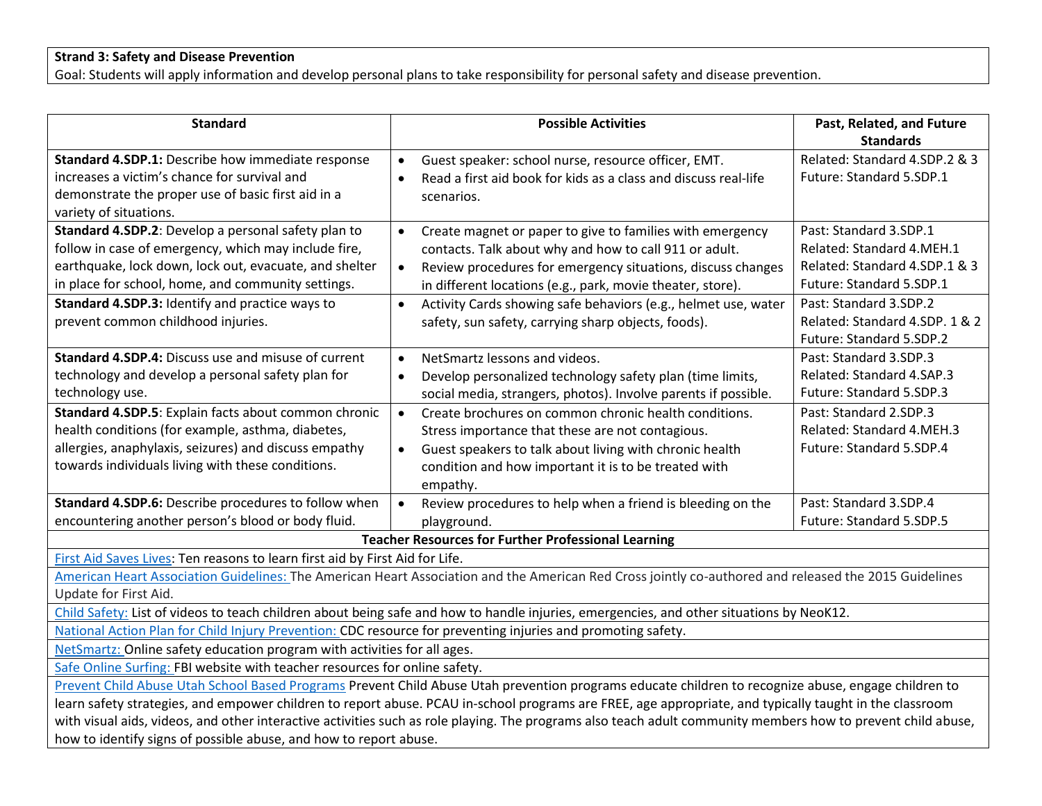## **Strand 3: Safety and Disease Prevention**

Goal: Students will apply information and develop personal plans to take responsibility for personal safety and disease prevention.

| <b>Standard</b>                                                                                                                                              | <b>Possible Activities</b>                                                                                                                            | Past, Related, and Future      |  |
|--------------------------------------------------------------------------------------------------------------------------------------------------------------|-------------------------------------------------------------------------------------------------------------------------------------------------------|--------------------------------|--|
|                                                                                                                                                              |                                                                                                                                                       | <b>Standards</b>               |  |
| Standard 4.SDP.1: Describe how immediate response                                                                                                            | Guest speaker: school nurse, resource officer, EMT.<br>$\bullet$                                                                                      | Related: Standard 4.SDP.2 & 3  |  |
| increases a victim's chance for survival and                                                                                                                 | Read a first aid book for kids as a class and discuss real-life                                                                                       | Future: Standard 5.SDP.1       |  |
| demonstrate the proper use of basic first aid in a                                                                                                           | scenarios.                                                                                                                                            |                                |  |
| variety of situations.                                                                                                                                       |                                                                                                                                                       |                                |  |
| Standard 4.SDP.2: Develop a personal safety plan to                                                                                                          | Create magnet or paper to give to families with emergency<br>$\bullet$                                                                                | Past: Standard 3.SDP.1         |  |
| follow in case of emergency, which may include fire,                                                                                                         | contacts. Talk about why and how to call 911 or adult.                                                                                                | Related: Standard 4.MEH.1      |  |
| earthquake, lock down, lock out, evacuate, and shelter                                                                                                       | Review procedures for emergency situations, discuss changes<br>$\bullet$                                                                              | Related: Standard 4.SDP.1 & 3  |  |
| in place for school, home, and community settings.                                                                                                           | in different locations (e.g., park, movie theater, store).                                                                                            | Future: Standard 5.SDP.1       |  |
| Standard 4.SDP.3: Identify and practice ways to                                                                                                              | Activity Cards showing safe behaviors (e.g., helmet use, water<br>$\bullet$                                                                           | Past: Standard 3.SDP.2         |  |
| prevent common childhood injuries.                                                                                                                           | safety, sun safety, carrying sharp objects, foods).                                                                                                   | Related: Standard 4.SDP. 1 & 2 |  |
|                                                                                                                                                              |                                                                                                                                                       | Future: Standard 5.SDP.2       |  |
| Standard 4.SDP.4: Discuss use and misuse of current                                                                                                          | NetSmartz lessons and videos.                                                                                                                         | Past: Standard 3.SDP.3         |  |
| technology and develop a personal safety plan for                                                                                                            | Develop personalized technology safety plan (time limits,<br>$\bullet$                                                                                | Related: Standard 4.SAP.3      |  |
| technology use.                                                                                                                                              | social media, strangers, photos). Involve parents if possible.                                                                                        | Future: Standard 5.SDP.3       |  |
| Standard 4.SDP.5: Explain facts about common chronic                                                                                                         | Create brochures on common chronic health conditions.<br>$\bullet$                                                                                    | Past: Standard 2.SDP.3         |  |
| health conditions (for example, asthma, diabetes,                                                                                                            | Stress importance that these are not contagious.                                                                                                      | Related: Standard 4.MEH.3      |  |
| allergies, anaphylaxis, seizures) and discuss empathy                                                                                                        | Guest speakers to talk about living with chronic health<br>$\bullet$                                                                                  | Future: Standard 5.SDP.4       |  |
| towards individuals living with these conditions.                                                                                                            | condition and how important it is to be treated with                                                                                                  |                                |  |
|                                                                                                                                                              | empathy.                                                                                                                                              |                                |  |
| Standard 4.SDP.6: Describe procedures to follow when                                                                                                         | Review procedures to help when a friend is bleeding on the<br>$\bullet$                                                                               | Past: Standard 3.SDP.4         |  |
| encountering another person's blood or body fluid.                                                                                                           | playground.                                                                                                                                           | Future: Standard 5.SDP.5       |  |
|                                                                                                                                                              | <b>Teacher Resources for Further Professional Learning</b>                                                                                            |                                |  |
| First Aid Saves Lives: Ten reasons to learn first aid by First Aid for Life.                                                                                 |                                                                                                                                                       |                                |  |
|                                                                                                                                                              | American Heart Association Guidelines: The American Heart Association and the American Red Cross jointly co-authored and released the 2015 Guidelines |                                |  |
| Update for First Aid.                                                                                                                                        |                                                                                                                                                       |                                |  |
| Child Safety: List of videos to teach children about being safe and how to handle injuries, emergencies, and other situations by NeoK12.                     |                                                                                                                                                       |                                |  |
| National Action Plan for Child Injury Prevention: CDC resource for preventing injuries and promoting safety.                                                 |                                                                                                                                                       |                                |  |
| NetSmartz: Online safety education program with activities for all ages.                                                                                     |                                                                                                                                                       |                                |  |
| Safe Online Surfing: FBI website with teacher resources for online safety.                                                                                   |                                                                                                                                                       |                                |  |
| Prevent Child Abuse Utah School Based Programs Prevent Child Abuse Utah prevention programs educate children to recognize abuse, engage children to          |                                                                                                                                                       |                                |  |
| learn safety strategies, and empower children to report abuse. PCAU in-school programs are FREE, age appropriate, and typically taught in the classroom      |                                                                                                                                                       |                                |  |
| with visual aids, videos, and other interactive activities such as role playing. The programs also teach adult community members how to prevent child abuse, |                                                                                                                                                       |                                |  |
| how to identify signs of possible abuse, and how to report abuse.                                                                                            |                                                                                                                                                       |                                |  |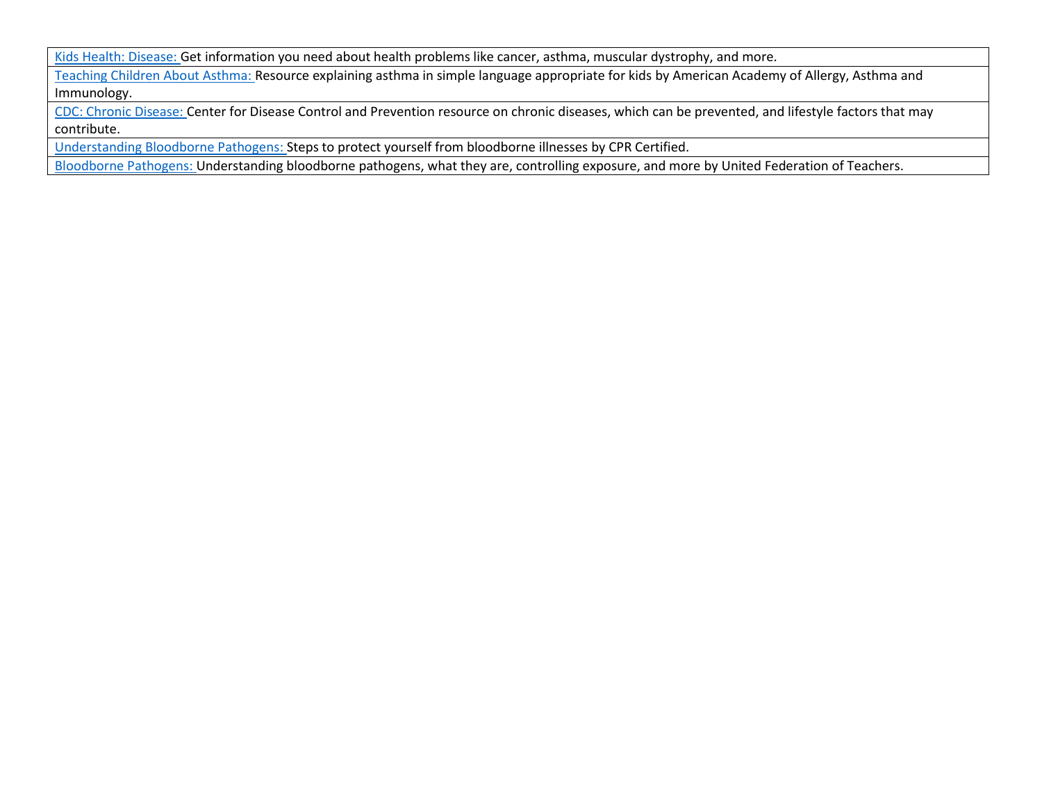[Kids Health: Disease:](https://kidshealth.org/en/kids/health-problems/?WT.ac=k-nav-health-problems) Get information you need about health problems like cancer, asthma, muscular dystrophy, and more.

[Teaching Children About Asthma:](https://www.aaaai.org/conditions-and-treatments/library/asthma-library/teaching-your-child-about-asthma) Resource explaining asthma in simple language appropriate for kids by American Academy of Allergy, Asthma and Immunology.

[CDC: Chronic Disease:](https://www.cdc.gov/chronicdisease/about/index.htm) Center for Disease Control and Prevention resource on chronic diseases, which can be prevented, and lifestyle factors that may contribute.

[Understanding Bloodborne Pathogens:](https://www.cprcertified.com/understanding-bloodborne-pathogens) Steps to protect yourself from bloodborne illnesses by CPR Certified.

[Bloodborne Pathogens:](https://www.uft.org/chapters/other-chapters/family-child-care-providers/resources/health-safety/bloodborne) Understanding bloodborne pathogens, what they are, controlling exposure, and more by United Federation of Teachers.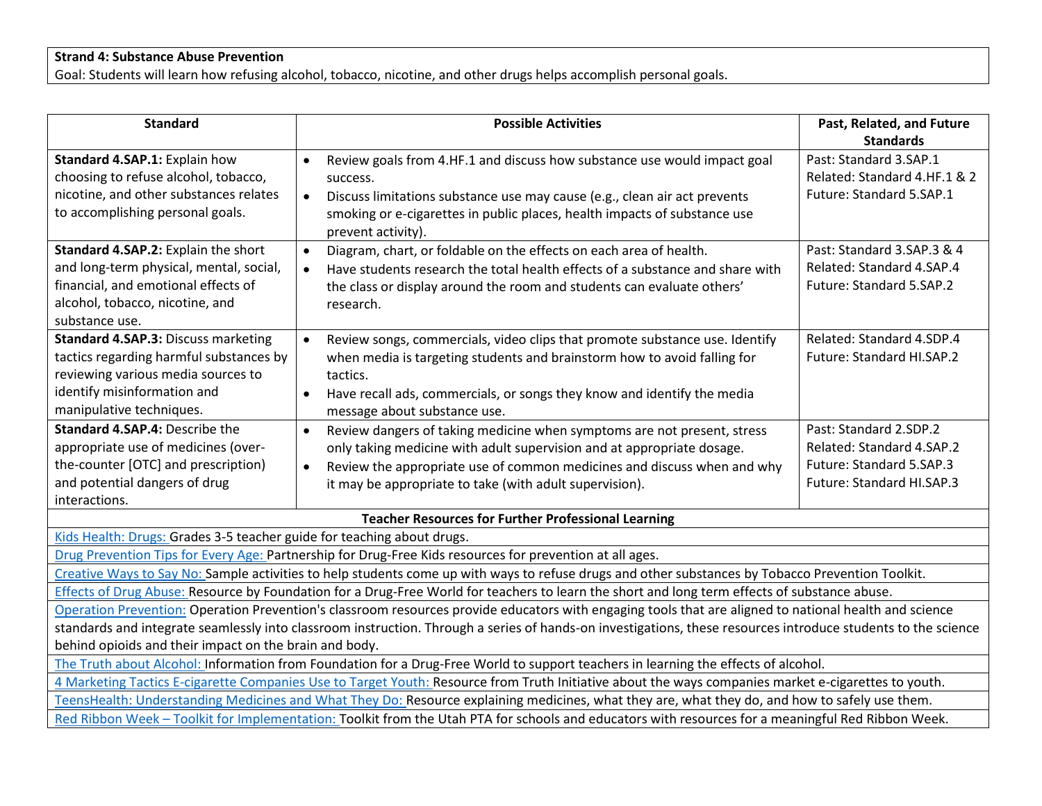### **Strand 4: Substance Abuse Prevention**

Goal: Students will learn how refusing alcohol, tobacco, nicotine, and other drugs helps accomplish personal goals.

| <b>Standard</b>                                                                                                                                               | <b>Possible Activities</b>                                                                                                                        | Past, Related, and Future    |
|---------------------------------------------------------------------------------------------------------------------------------------------------------------|---------------------------------------------------------------------------------------------------------------------------------------------------|------------------------------|
|                                                                                                                                                               |                                                                                                                                                   | <b>Standards</b>             |
| Standard 4.SAP.1: Explain how                                                                                                                                 | Review goals from 4.HF.1 and discuss how substance use would impact goal<br>$\bullet$                                                             | Past: Standard 3.SAP.1       |
| choosing to refuse alcohol, tobacco,                                                                                                                          | success.                                                                                                                                          | Related: Standard 4.HF.1 & 2 |
| nicotine, and other substances relates                                                                                                                        | Discuss limitations substance use may cause (e.g., clean air act prevents<br>$\bullet$                                                            | Future: Standard 5.SAP.1     |
| to accomplishing personal goals.                                                                                                                              | smoking or e-cigarettes in public places, health impacts of substance use<br>prevent activity).                                                   |                              |
| Standard 4.SAP.2: Explain the short                                                                                                                           | Diagram, chart, or foldable on the effects on each area of health.<br>$\bullet$                                                                   | Past: Standard 3.SAP.3 & 4   |
| and long-term physical, mental, social,                                                                                                                       | Have students research the total health effects of a substance and share with<br>$\bullet$                                                        | Related: Standard 4.SAP.4    |
| financial, and emotional effects of                                                                                                                           | the class or display around the room and students can evaluate others'                                                                            | Future: Standard 5.SAP.2     |
| alcohol, tobacco, nicotine, and                                                                                                                               | research.                                                                                                                                         |                              |
| substance use.                                                                                                                                                |                                                                                                                                                   |                              |
| <b>Standard 4.SAP.3: Discuss marketing</b>                                                                                                                    | $\bullet$<br>Review songs, commercials, video clips that promote substance use. Identify                                                          | Related: Standard 4.SDP.4    |
| tactics regarding harmful substances by                                                                                                                       | when media is targeting students and brainstorm how to avoid falling for                                                                          | Future: Standard HI.SAP.2    |
| reviewing various media sources to                                                                                                                            | tactics.                                                                                                                                          |                              |
| identify misinformation and                                                                                                                                   | Have recall ads, commercials, or songs they know and identify the media<br>$\bullet$                                                              |                              |
| manipulative techniques.                                                                                                                                      | message about substance use.                                                                                                                      |                              |
| Standard 4.SAP.4: Describe the                                                                                                                                | Review dangers of taking medicine when symptoms are not present, stress<br>$\bullet$                                                              | Past: Standard 2.SDP.2       |
| appropriate use of medicines (over-                                                                                                                           | only taking medicine with adult supervision and at appropriate dosage.                                                                            | Related: Standard 4.SAP.2    |
| the-counter [OTC] and prescription)                                                                                                                           | Review the appropriate use of common medicines and discuss when and why<br>$\bullet$                                                              | Future: Standard 5.SAP.3     |
| and potential dangers of drug                                                                                                                                 | it may be appropriate to take (with adult supervision).                                                                                           | Future: Standard HI.SAP.3    |
| interactions.                                                                                                                                                 |                                                                                                                                                   |                              |
|                                                                                                                                                               | <b>Teacher Resources for Further Professional Learning</b>                                                                                        |                              |
| Kids Health: Drugs: Grades 3-5 teacher guide for teaching about drugs.                                                                                        |                                                                                                                                                   |                              |
|                                                                                                                                                               | Drug Prevention Tips for Every Age: Partnership for Drug-Free Kids resources for prevention at all ages.                                          |                              |
|                                                                                                                                                               | Creative Ways to Say No: Sample activities to help students come up with ways to refuse drugs and other substances by Tobacco Prevention Toolkit. |                              |
| Effects of Drug Abuse: Resource by Foundation for a Drug-Free World for teachers to learn the short and long term effects of substance abuse.                 |                                                                                                                                                   |                              |
| Operation Prevention: Operation Prevention's classroom resources provide educators with engaging tools that are aligned to national health and science        |                                                                                                                                                   |                              |
| standards and integrate seamlessly into classroom instruction. Through a series of hands-on investigations, these resources introduce students to the science |                                                                                                                                                   |                              |
| behind opioids and their impact on the brain and body.                                                                                                        |                                                                                                                                                   |                              |
| The Truth about Alcohol: Information from Foundation for a Drug-Free World to support teachers in learning the effects of alcohol.                            |                                                                                                                                                   |                              |
| 4 Marketing Tactics E-cigarette Companies Use to Target Youth: Resource from Truth Initiative about the ways companies market e-cigarettes to youth.          |                                                                                                                                                   |                              |
| TeensHealth: Understanding Medicines and What They Do: Resource explaining medicines, what they are, what they do, and how to safely use them.                |                                                                                                                                                   |                              |
| Red Ribbon Week - Toolkit for Implementation: Toolkit from the Utah PTA for schools and educators with resources for a meaningful Red Ribbon Week.            |                                                                                                                                                   |                              |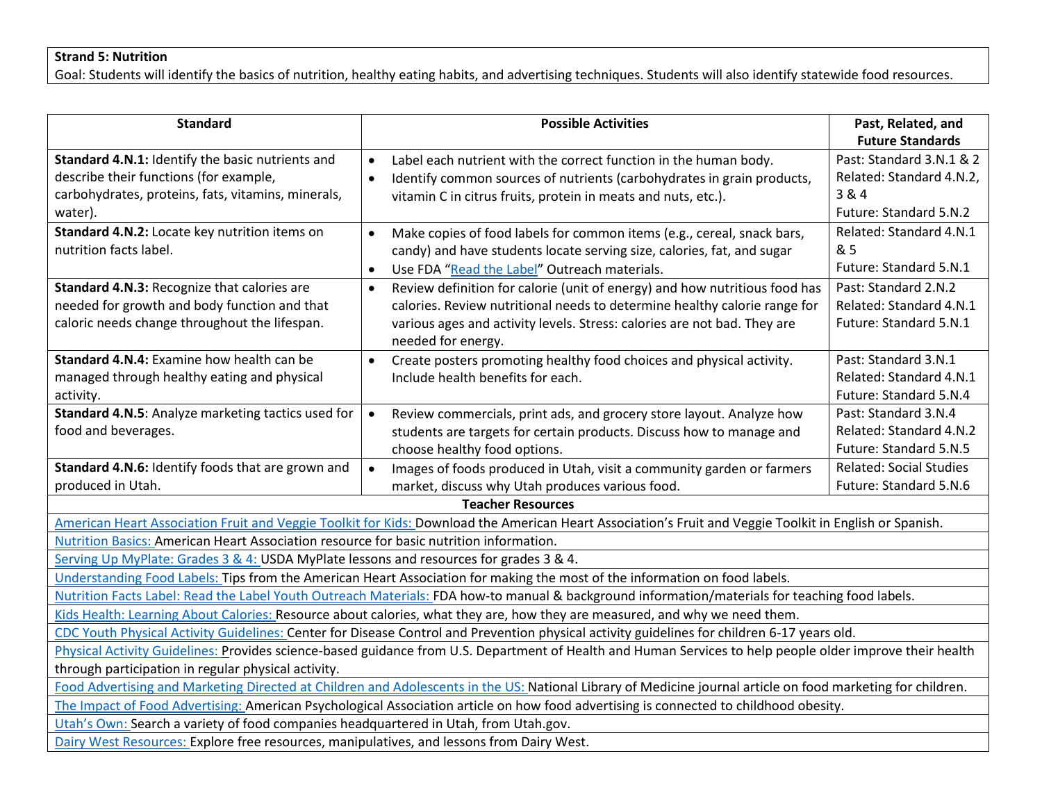### **Strand 5: Nutrition**

Goal: Students will identify the basics of nutrition, healthy eating habits, and advertising techniques. Students will also identify statewide food resources.

| <b>Standard</b>                                                                                                                                                                                                                                                           | <b>Possible Activities</b>                                                                                                                                                                                                                                             | Past, Related, and<br><b>Future Standards</b>                                           |
|---------------------------------------------------------------------------------------------------------------------------------------------------------------------------------------------------------------------------------------------------------------------------|------------------------------------------------------------------------------------------------------------------------------------------------------------------------------------------------------------------------------------------------------------------------|-----------------------------------------------------------------------------------------|
| Standard 4.N.1: Identify the basic nutrients and<br>describe their functions (for example,<br>carbohydrates, proteins, fats, vitamins, minerals,<br>water).                                                                                                               | Label each nutrient with the correct function in the human body.<br>$\bullet$<br>Identify common sources of nutrients (carbohydrates in grain products,<br>$\bullet$<br>vitamin C in citrus fruits, protein in meats and nuts, etc.).                                  | Past: Standard 3.N.1 & 2<br>Related: Standard 4.N.2,<br>3 & 4<br>Future: Standard 5.N.2 |
| Standard 4.N.2: Locate key nutrition items on<br>nutrition facts label.                                                                                                                                                                                                   | Make copies of food labels for common items (e.g., cereal, snack bars,<br>$\bullet$<br>candy) and have students locate serving size, calories, fat, and sugar<br>Use FDA "Read the Label" Outreach materials.<br>$\bullet$                                             | Related: Standard 4.N.1<br>& 5<br>Future: Standard 5.N.1                                |
| Standard 4.N.3: Recognize that calories are<br>needed for growth and body function and that<br>caloric needs change throughout the lifespan.                                                                                                                              | Review definition for calorie (unit of energy) and how nutritious food has<br>$\bullet$<br>calories. Review nutritional needs to determine healthy calorie range for<br>various ages and activity levels. Stress: calories are not bad. They are<br>needed for energy. | Past: Standard 2.N.2<br>Related: Standard 4.N.1<br>Future: Standard 5.N.1               |
| Standard 4.N.4: Examine how health can be<br>managed through healthy eating and physical<br>activity.                                                                                                                                                                     | Create posters promoting healthy food choices and physical activity.<br>Include health benefits for each.                                                                                                                                                              | Past: Standard 3.N.1<br>Related: Standard 4.N.1<br>Future: Standard 5.N.4               |
| Standard 4.N.5: Analyze marketing tactics used for<br>food and beverages.                                                                                                                                                                                                 | Review commercials, print ads, and grocery store layout. Analyze how<br>$\bullet$<br>students are targets for certain products. Discuss how to manage and<br>choose healthy food options.                                                                              | Past: Standard 3.N.4<br>Related: Standard 4.N.2<br>Future: Standard 5.N.5               |
| Standard 4.N.6: Identify foods that are grown and<br>produced in Utah.                                                                                                                                                                                                    | Images of foods produced in Utah, visit a community garden or farmers<br>$\bullet$<br>market, discuss why Utah produces various food.                                                                                                                                  | <b>Related: Social Studies</b><br>Future: Standard 5.N.6                                |
|                                                                                                                                                                                                                                                                           | <b>Teacher Resources</b>                                                                                                                                                                                                                                               |                                                                                         |
|                                                                                                                                                                                                                                                                           | American Heart Association Fruit and Veggie Toolkit for Kids: Download the American Heart Association's Fruit and Veggie Toolkit in English or Spanish.                                                                                                                |                                                                                         |
| Nutrition Basics: American Heart Association resource for basic nutrition information.                                                                                                                                                                                    |                                                                                                                                                                                                                                                                        |                                                                                         |
| Serving Up MyPlate: Grades 3 & 4: USDA MyPlate lessons and resources for grades 3 & 4.                                                                                                                                                                                    |                                                                                                                                                                                                                                                                        |                                                                                         |
|                                                                                                                                                                                                                                                                           | Understanding Food Labels: Tips from the American Heart Association for making the most of the information on food labels.                                                                                                                                             |                                                                                         |
| Nutrition Facts Label: Read the Label Youth Outreach Materials: FDA how-to manual & background information/materials for teaching food labels.                                                                                                                            |                                                                                                                                                                                                                                                                        |                                                                                         |
| Kids Health: Learning About Calories: Resource about calories, what they are, how they are measured, and why we need them.<br>CDC Youth Physical Activity Guidelines: Center for Disease Control and Prevention physical activity guidelines for children 6-17 years old. |                                                                                                                                                                                                                                                                        |                                                                                         |
| Physical Activity Guidelines: Provides science-based guidance from U.S. Department of Health and Human Services to help people older improve their health                                                                                                                 |                                                                                                                                                                                                                                                                        |                                                                                         |
| through participation in regular physical activity.                                                                                                                                                                                                                       |                                                                                                                                                                                                                                                                        |                                                                                         |
| Food Advertising and Marketing Directed at Children and Adolescents in the US: National Library of Medicine journal article on food marketing for children.                                                                                                               |                                                                                                                                                                                                                                                                        |                                                                                         |
| The Impact of Food Advertising: American Psychological Association article on how food advertising is connected to childhood obesity.                                                                                                                                     |                                                                                                                                                                                                                                                                        |                                                                                         |
| Utah's Own: Search a variety of food companies headquartered in Utah, from Utah.gov.                                                                                                                                                                                      |                                                                                                                                                                                                                                                                        |                                                                                         |
| Dairy West Resources: Explore free resources, manipulatives, and lessons from Dairy West.                                                                                                                                                                                 |                                                                                                                                                                                                                                                                        |                                                                                         |